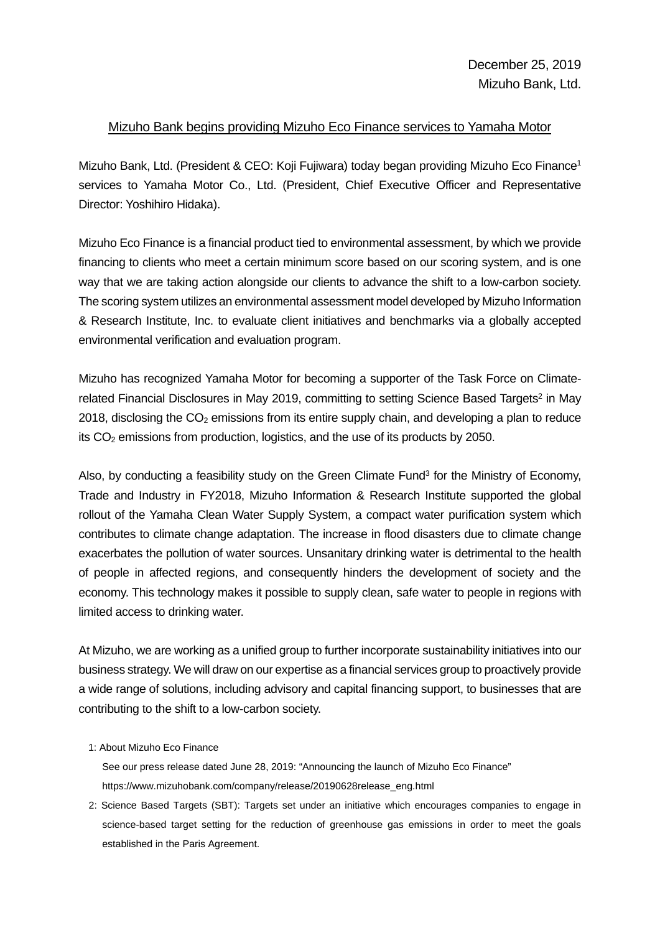## Mizuho Bank begins providing Mizuho Eco Finance services to Yamaha Motor

Mizuho Bank, Ltd. (President & CEO: Koji Fujiwara) today began providing Mizuho Eco Finance1 services to Yamaha Motor Co., Ltd. (President, Chief Executive Officer and Representative Director: Yoshihiro Hidaka).

Mizuho Eco Finance is a financial product tied to environmental assessment, by which we provide financing to clients who meet a certain minimum score based on our scoring system, and is one way that we are taking action alongside our clients to advance the shift to a low-carbon society. The scoring system utilizes an environmental assessment model developed by Mizuho Information & Research Institute, Inc. to evaluate client initiatives and benchmarks via a globally accepted environmental verification and evaluation program.

Mizuho has recognized Yamaha Motor for becoming a supporter of the Task Force on Climaterelated Financial Disclosures in May 2019, committing to setting Science Based Targets<sup>2</sup> in May 2018, disclosing the  $CO<sub>2</sub>$  emissions from its entire supply chain, and developing a plan to reduce its CO<sub>2</sub> emissions from production, logistics, and the use of its products by 2050.

Also, by conducting a feasibility study on the Green Climate Fund<sup>3</sup> for the Ministry of Economy, Trade and Industry in FY2018, Mizuho Information & Research Institute supported the global rollout of the Yamaha Clean Water Supply System, a compact water purification system which contributes to climate change adaptation. The increase in flood disasters due to climate change exacerbates the pollution of water sources. Unsanitary drinking water is detrimental to the health of people in affected regions, and consequently hinders the development of society and the economy. This technology makes it possible to supply clean, safe water to people in regions with limited access to drinking water.

At Mizuho, we are working as a unified group to further incorporate sustainability initiatives into our business strategy. We will draw on our expertise as a financial services group to proactively provide a wide range of solutions, including advisory and capital financing support, to businesses that are contributing to the shift to a low-carbon society.

## 1: About Mizuho Eco Finance

See our press release dated June 28, 2019: "Announcing the launch of Mizuho Eco Finance" https://www.mizuhobank.com/company/release/20190628release\_eng.html

2: Science Based Targets (SBT): Targets set under an initiative which encourages companies to engage in science-based target setting for the reduction of greenhouse gas emissions in order to meet the goals established in the Paris Agreement.